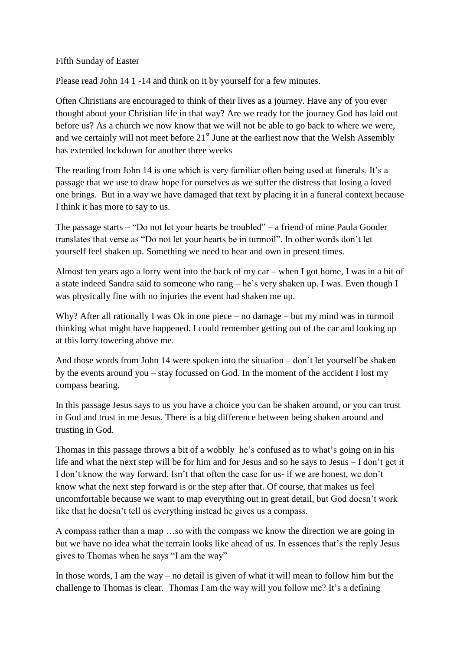## Fifth Sunday of Easter

Please read John 14 1 -14 and think on it by yourself for a few minutes.

Often Christians are encouraged to think of their lives as a journey. Have any of you ever thought about your Christian life in that way? Are we ready for the journey God has laid out before us? As a church we now know that we will not be able to go back to where we were, and we certainly will not meet before  $21<sup>st</sup>$  June at the earliest now that the Welsh Assembly has extended lockdown for another three weeks

The reading from John 14 is one which is very familiar often being used at funerals. It's a passage that we use to draw hope for ourselves as we suffer the distress that losing a loved one brings. But in a way we have damaged that text by placing it in a funeral context because I think it has more to say to us.

The passage starts – "Do not let your hearts be troubled" – a friend of mine Paula Gooder translates that verse as "Do not let your hearts be in turmoil". In other words don't let yourself feel shaken up. Something we need to hear and own in present times.

Almost ten years ago a lorry went into the back of my car – when I got home, I was in a bit of a state indeed Sandra said to someone who rang – he's very shaken up. I was. Even though I was physically fine with no injuries the event had shaken me up.

Why? After all rationally I was Ok in one piece – no damage – but my mind was in turmoil thinking what might have happened. I could remember getting out of the car and looking up at this lorry towering above me.

And those words from John 14 were spoken into the situation – don't let yourself be shaken by the events around you – stay focussed on God. In the moment of the accident I lost my compass bearing.

In this passage Jesus says to us you have a choice you can be shaken around, or you can trust in God and trust in me Jesus. There is a big difference between being shaken around and trusting in God.

Thomas in this passage throws a bit of a wobbly he's confused as to what's going on in his life and what the next step will be for him and for Jesus and so he says to Jesus – I don't get it I don't know the way forward. Isn't that often the case for us- if we are honest, we don't know what the next step forward is or the step after that. Of course, that makes us feel uncomfortable because we want to map everything out in great detail, but God doesn't work like that he doesn't tell us everything instead he gives us a compass.

A compass rather than a map …so with the compass we know the direction we are going in but we have no idea what the terrain looks like ahead of us. In essences that's the reply Jesus gives to Thomas when he says "I am the way"

In those words, I am the way – no detail is given of what it will mean to follow him but the challenge to Thomas is clear. Thomas I am the way will you follow me? It's a defining